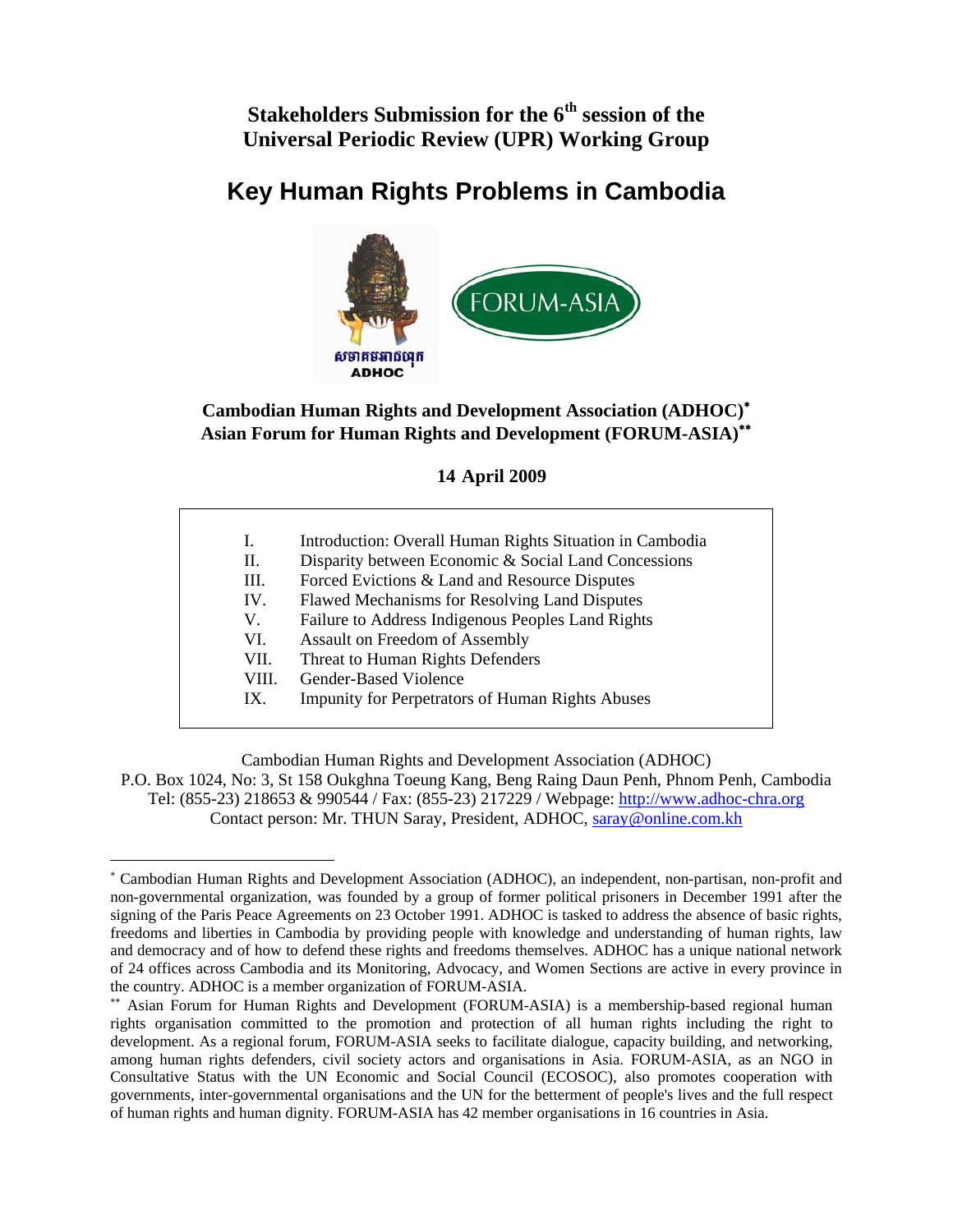**Stakeholders Submission for the 6th session of the Universal Periodic Review (UPR) Working Group** 

# **Key Human Rights Problems in Cambodia**



#### **Cambodian Human Rights and Development Association (ADHOC)**<sup>∗</sup> **Asian Forum for Human Rights and Development (FORUM-ASIA)**∗∗

**14 April 2009** 

- I. Introduction: Overall Human Rights Situation in Cambodia
- II. Disparity between Economic & Social Land Concessions
- III. Forced Evictions & Land and Resource Disputes
- IV. Flawed Mechanisms for Resolving Land Disputes
- V. Failure to Address Indigenous Peoples Land Rights
- VI. Assault on Freedom of Assembly
- VII. Threat to Human Rights Defenders
- VIII. Gender-Based Violence

 $\overline{a}$ 

IX. Impunity for Perpetrators of Human Rights Abuses

Cambodian Human Rights and Development Association (ADHOC)

P.O. Box 1024, No: 3, St 158 Oukghna Toeung Kang, Beng Raing Daun Penh, Phnom Penh, Cambodia Tel: (855-23) 218653 & 990544 / Fax: (855-23) 217229 / Webpage: http://www.adhoc-chra.org Contact person: Mr. THUN Saray, President, ADHOC, saray@online.com.kh

<sup>∗</sup> Cambodian Human Rights and Development Association (ADHOC), an independent, non-partisan, non-profit and non-governmental organization, was founded by a group of former political prisoners in December 1991 after the signing of the Paris Peace Agreements on 23 October 1991. ADHOC is tasked to address the absence of basic rights, freedoms and liberties in Cambodia by providing people with knowledge and understanding of human rights, law and democracy and of how to defend these rights and freedoms themselves. ADHOC has a unique national network of 24 offices across Cambodia and its Monitoring, Advocacy, and Women Sections are active in every province in the country. ADHOC is a member organization of FORUM-ASIA.

<sup>∗∗</sup> Asian Forum for Human Rights and Development (FORUM-ASIA) is a membership-based regional human rights organisation committed to the promotion and protection of all human rights including the right to development. As a regional forum, FORUM-ASIA seeks to facilitate dialogue, capacity building, and networking, among human rights defenders, civil society actors and organisations in Asia. FORUM-ASIA, as an NGO in Consultative Status with the UN Economic and Social Council (ECOSOC), also promotes cooperation with governments, inter-governmental organisations and the UN for the betterment of people's lives and the full respect of human rights and human dignity. FORUM-ASIA has 42 member organisations in 16 countries in Asia.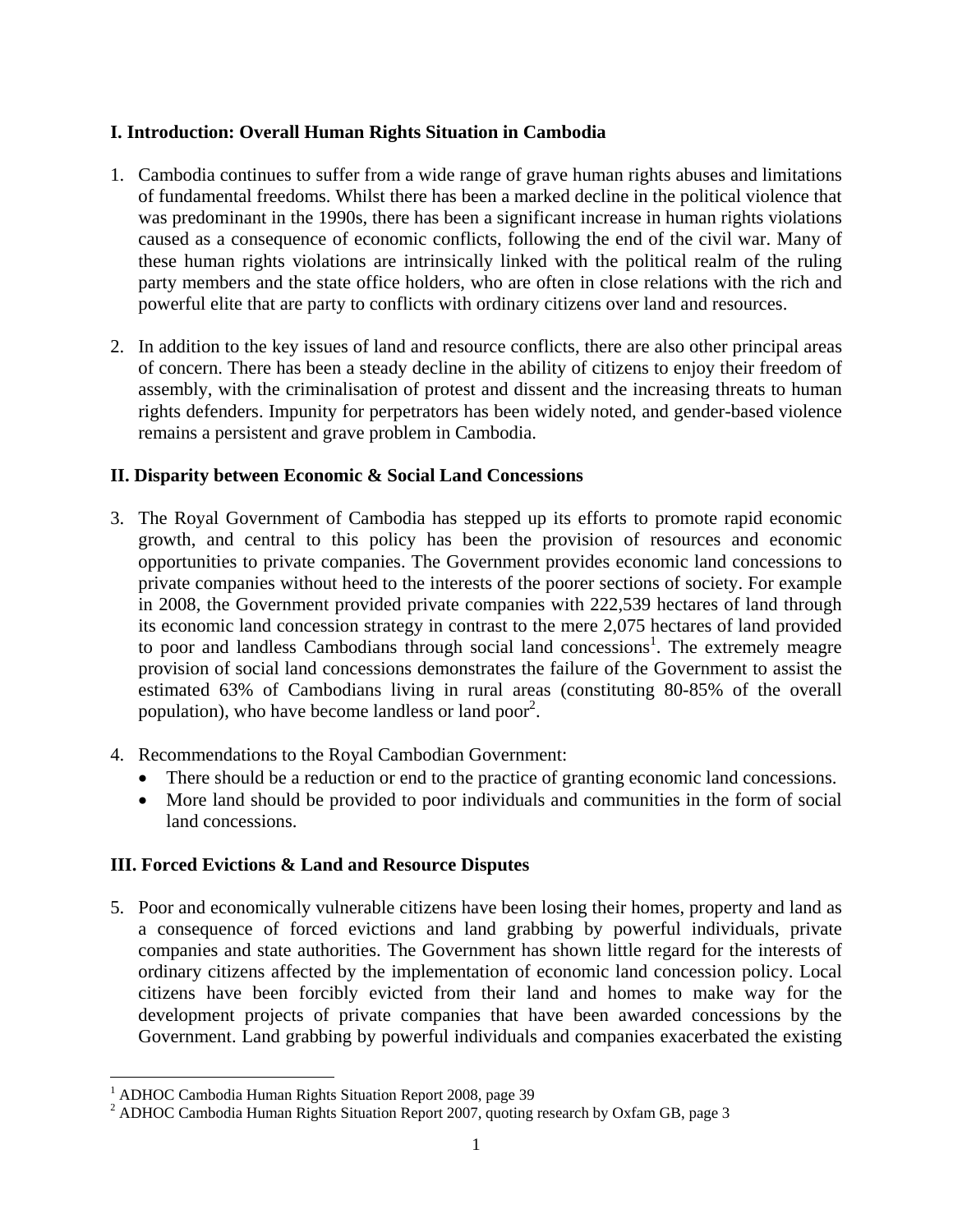#### **I. Introduction: Overall Human Rights Situation in Cambodia**

- 1. Cambodia continues to suffer from a wide range of grave human rights abuses and limitations of fundamental freedoms. Whilst there has been a marked decline in the political violence that was predominant in the 1990s, there has been a significant increase in human rights violations caused as a consequence of economic conflicts, following the end of the civil war. Many of these human rights violations are intrinsically linked with the political realm of the ruling party members and the state office holders, who are often in close relations with the rich and powerful elite that are party to conflicts with ordinary citizens over land and resources.
- 2. In addition to the key issues of land and resource conflicts, there are also other principal areas of concern. There has been a steady decline in the ability of citizens to enjoy their freedom of assembly, with the criminalisation of protest and dissent and the increasing threats to human rights defenders. Impunity for perpetrators has been widely noted, and gender-based violence remains a persistent and grave problem in Cambodia.

#### **II. Disparity between Economic & Social Land Concessions**

- 3. The Royal Government of Cambodia has stepped up its efforts to promote rapid economic growth, and central to this policy has been the provision of resources and economic opportunities to private companies. The Government provides economic land concessions to private companies without heed to the interests of the poorer sections of society. For example in 2008, the Government provided private companies with 222,539 hectares of land through its economic land concession strategy in contrast to the mere 2,075 hectares of land provided to poor and landless Cambodians through social land concessions<sup>1</sup>. The extremely meagre provision of social land concessions demonstrates the failure of the Government to assist the estimated 63% of Cambodians living in rural areas (constituting 80-85% of the overall population), who have become landless or land poor<sup>2</sup>.
- 4. Recommendations to the Royal Cambodian Government:
	- There should be a reduction or end to the practice of granting economic land concessions.
	- More land should be provided to poor individuals and communities in the form of social land concessions.

## **III. Forced Evictions & Land and Resource Disputes**

5. Poor and economically vulnerable citizens have been losing their homes, property and land as a consequence of forced evictions and land grabbing by powerful individuals, private companies and state authorities. The Government has shown little regard for the interests of ordinary citizens affected by the implementation of economic land concession policy. Local citizens have been forcibly evicted from their land and homes to make way for the development projects of private companies that have been awarded concessions by the Government. Land grabbing by powerful individuals and companies exacerbated the existing

 $\overline{a}$ 

<sup>&</sup>lt;sup>1</sup> ADHOC Cambodia Human Rights Situation Report 2008, page 39

<sup>&</sup>lt;sup>2</sup> ADHOC Cambodia Human Rights Situation Report 2007, quoting research by Oxfam GB, page 3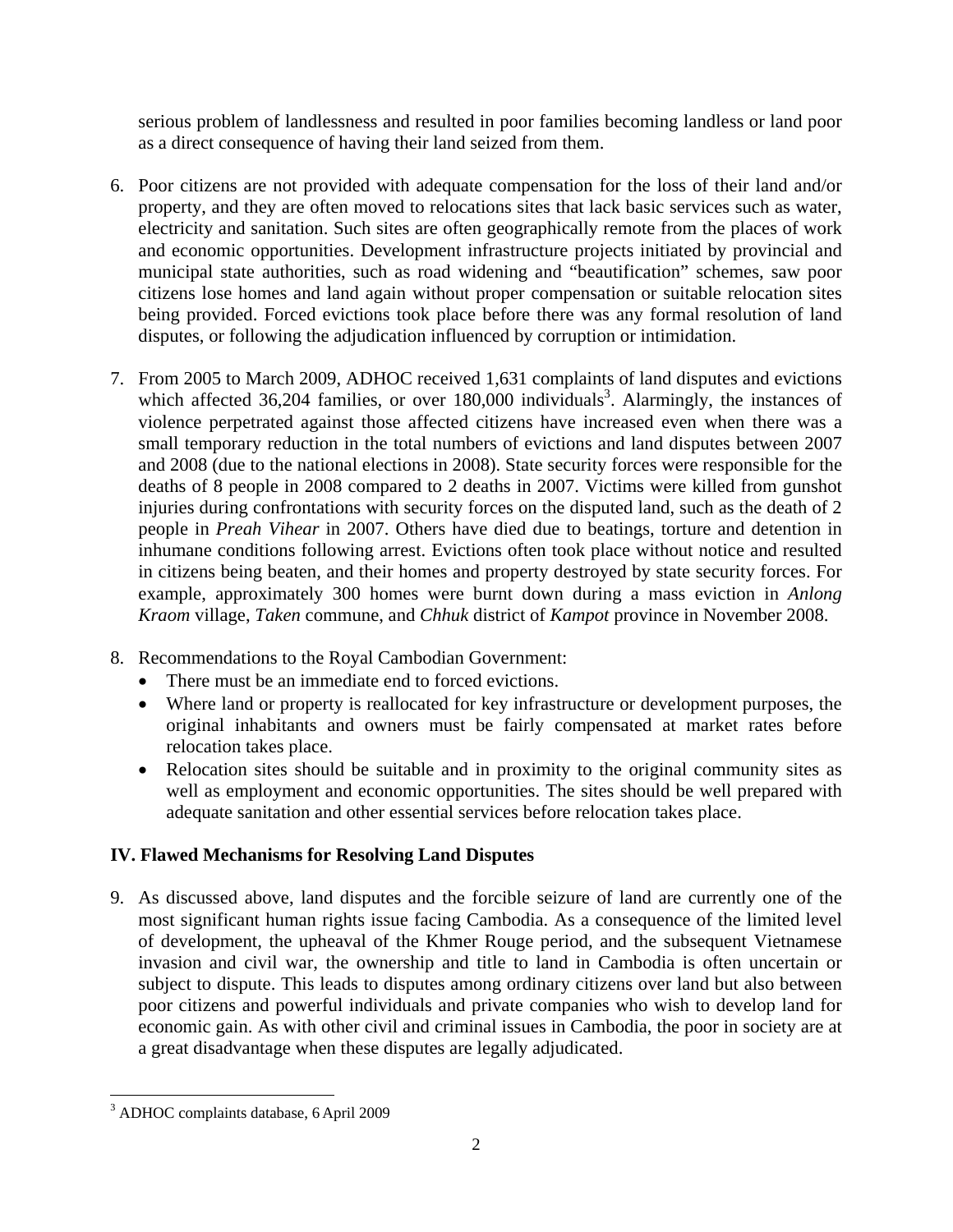serious problem of landlessness and resulted in poor families becoming landless or land poor as a direct consequence of having their land seized from them.

- 6. Poor citizens are not provided with adequate compensation for the loss of their land and/or property, and they are often moved to relocations sites that lack basic services such as water, electricity and sanitation. Such sites are often geographically remote from the places of work and economic opportunities. Development infrastructure projects initiated by provincial and municipal state authorities, such as road widening and "beautification" schemes, saw poor citizens lose homes and land again without proper compensation or suitable relocation sites being provided. Forced evictions took place before there was any formal resolution of land disputes, or following the adjudication influenced by corruption or intimidation.
- 7. From 2005 to March 2009, ADHOC received 1,631 complaints of land disputes and evictions which affected  $36,204$  families, or over  $180,000$  individuals<sup>3</sup>. Alarmingly, the instances of violence perpetrated against those affected citizens have increased even when there was a small temporary reduction in the total numbers of evictions and land disputes between 2007 and 2008 (due to the national elections in 2008). State security forces were responsible for the deaths of 8 people in 2008 compared to 2 deaths in 2007. Victims were killed from gunshot injuries during confrontations with security forces on the disputed land, such as the death of 2 people in *Preah Vihear* in 2007. Others have died due to beatings, torture and detention in inhumane conditions following arrest. Evictions often took place without notice and resulted in citizens being beaten, and their homes and property destroyed by state security forces. For example, approximately 300 homes were burnt down during a mass eviction in *Anlong Kraom* village, *Taken* commune, and *Chhuk* district of *Kampot* province in November 2008.
- 8. Recommendations to the Royal Cambodian Government:
	- There must be an immediate end to forced evictions.
	- Where land or property is reallocated for key infrastructure or development purposes, the original inhabitants and owners must be fairly compensated at market rates before relocation takes place.
	- Relocation sites should be suitable and in proximity to the original community sites as well as employment and economic opportunities. The sites should be well prepared with adequate sanitation and other essential services before relocation takes place.

## **IV. Flawed Mechanisms for Resolving Land Disputes**

9. As discussed above, land disputes and the forcible seizure of land are currently one of the most significant human rights issue facing Cambodia. As a consequence of the limited level of development, the upheaval of the Khmer Rouge period, and the subsequent Vietnamese invasion and civil war, the ownership and title to land in Cambodia is often uncertain or subject to dispute. This leads to disputes among ordinary citizens over land but also between poor citizens and powerful individuals and private companies who wish to develop land for economic gain. As with other civil and criminal issues in Cambodia, the poor in society are at a great disadvantage when these disputes are legally adjudicated.

 $\overline{a}$ 3 ADHOC complaints database, 6 April 2009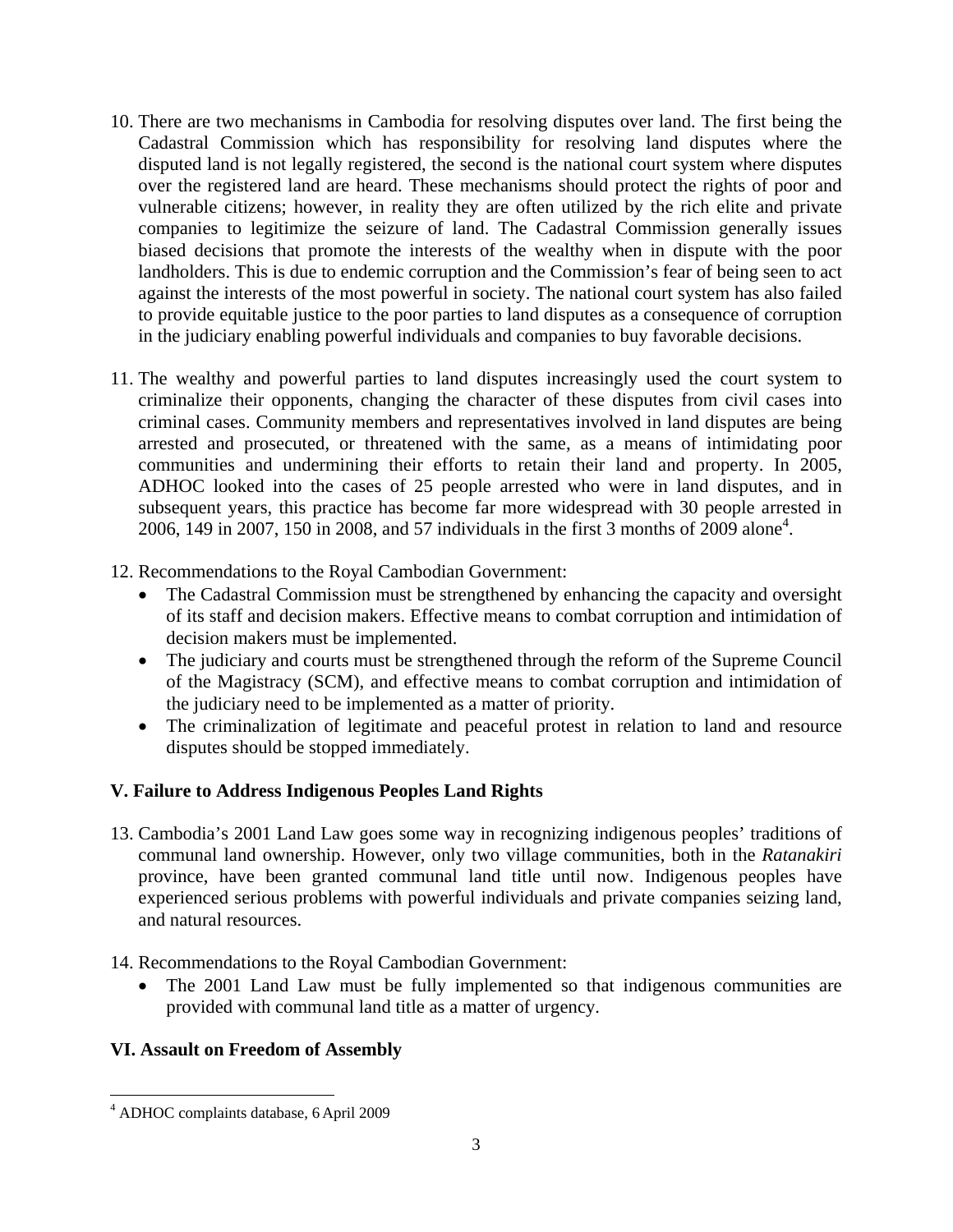- 10. There are two mechanisms in Cambodia for resolving disputes over land. The first being the Cadastral Commission which has responsibility for resolving land disputes where the disputed land is not legally registered, the second is the national court system where disputes over the registered land are heard. These mechanisms should protect the rights of poor and vulnerable citizens; however, in reality they are often utilized by the rich elite and private companies to legitimize the seizure of land. The Cadastral Commission generally issues biased decisions that promote the interests of the wealthy when in dispute with the poor landholders. This is due to endemic corruption and the Commission's fear of being seen to act against the interests of the most powerful in society. The national court system has also failed to provide equitable justice to the poor parties to land disputes as a consequence of corruption in the judiciary enabling powerful individuals and companies to buy favorable decisions.
- 11. The wealthy and powerful parties to land disputes increasingly used the court system to criminalize their opponents, changing the character of these disputes from civil cases into criminal cases. Community members and representatives involved in land disputes are being arrested and prosecuted, or threatened with the same, as a means of intimidating poor communities and undermining their efforts to retain their land and property. In 2005, ADHOC looked into the cases of 25 people arrested who were in land disputes, and in subsequent years, this practice has become far more widespread with 30 people arrested in 2006,  $\overline{149}$  in 2007, 150 in 2008, and 57 individuals in the first 3 months of 2009 alone<sup>4</sup>.
- 12. Recommendations to the Royal Cambodian Government:
	- The Cadastral Commission must be strengthened by enhancing the capacity and oversight of its staff and decision makers. Effective means to combat corruption and intimidation of decision makers must be implemented.
	- The judiciary and courts must be strengthened through the reform of the Supreme Council of the Magistracy (SCM), and effective means to combat corruption and intimidation of the judiciary need to be implemented as a matter of priority.
	- The criminalization of legitimate and peaceful protest in relation to land and resource disputes should be stopped immediately.

## **V. Failure to Address Indigenous Peoples Land Rights**

13. Cambodia's 2001 Land Law goes some way in recognizing indigenous peoples' traditions of communal land ownership. However, only two village communities, both in the *Ratanakiri*  province, have been granted communal land title until now. Indigenous peoples have experienced serious problems with powerful individuals and private companies seizing land, and natural resources.

14. Recommendations to the Royal Cambodian Government:

• The 2001 Land Law must be fully implemented so that indigenous communities are provided with communal land title as a matter of urgency.

## **VI. Assault on Freedom of Assembly**

 $\overline{a}$ 4 ADHOC complaints database, 6 April 2009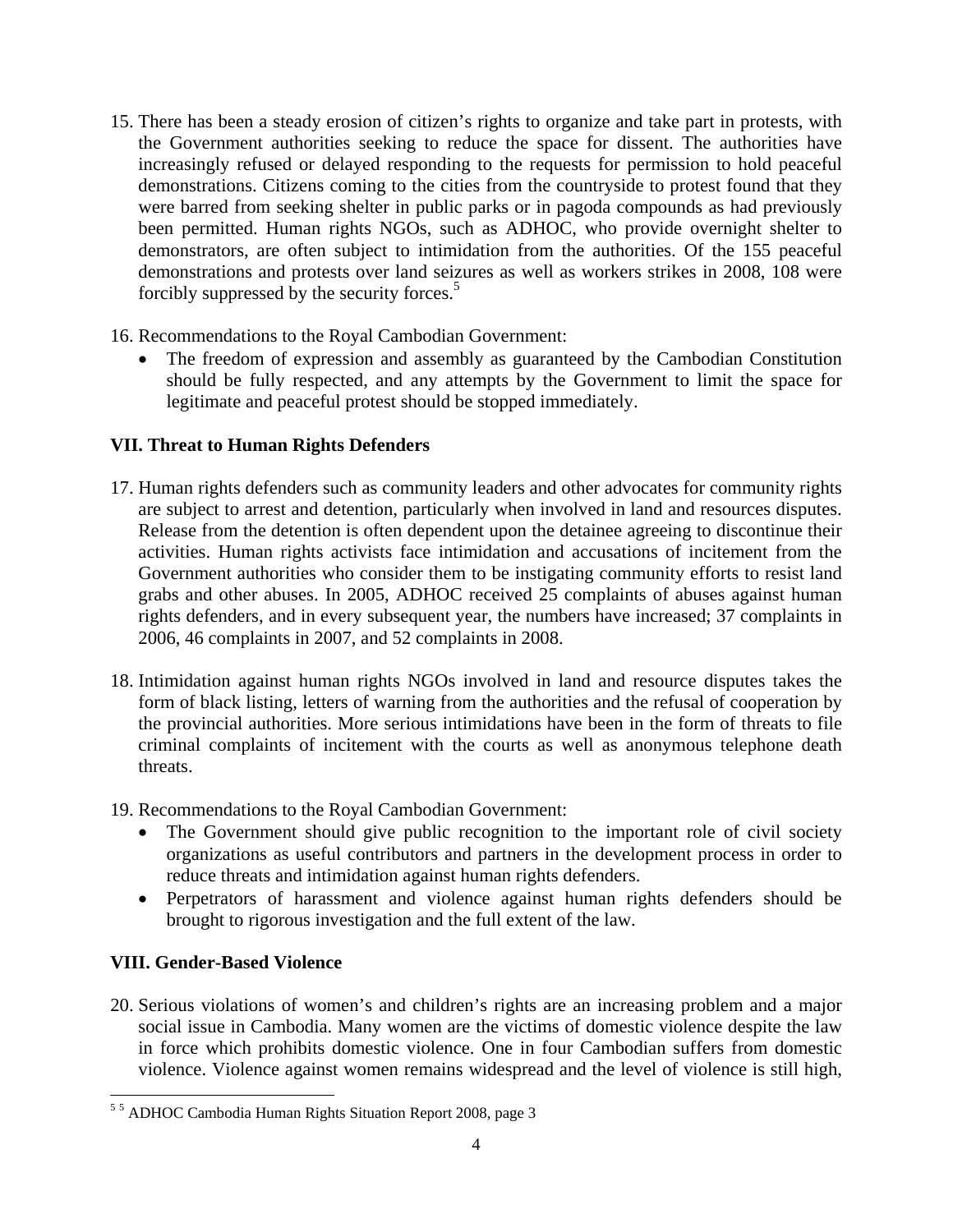- 15. There has been a steady erosion of citizen's rights to organize and take part in protests, with the Government authorities seeking to reduce the space for dissent. The authorities have increasingly refused or delayed responding to the requests for permission to hold peaceful demonstrations. Citizens coming to the cities from the countryside to protest found that they were barred from seeking shelter in public parks or in pagoda compounds as had previously been permitted. Human rights NGOs, such as ADHOC, who provide overnight shelter to demonstrators, are often subject to intimidation from the authorities. Of the 155 peaceful demonstrations and protests over land seizures as well as workers strikes in 2008, 108 were forcibly suppressed by the security forces.5
- 16. Recommendations to the Royal Cambodian Government:
	- The freedom of expression and assembly as guaranteed by the Cambodian Constitution should be fully respected, and any attempts by the Government to limit the space for legitimate and peaceful protest should be stopped immediately.

#### **VII. Threat to Human Rights Defenders**

- 17. Human rights defenders such as community leaders and other advocates for community rights are subject to arrest and detention, particularly when involved in land and resources disputes. Release from the detention is often dependent upon the detainee agreeing to discontinue their activities. Human rights activists face intimidation and accusations of incitement from the Government authorities who consider them to be instigating community efforts to resist land grabs and other abuses. In 2005, ADHOC received 25 complaints of abuses against human rights defenders, and in every subsequent year, the numbers have increased; 37 complaints in 2006, 46 complaints in 2007, and 52 complaints in 2008.
- 18. Intimidation against human rights NGOs involved in land and resource disputes takes the form of black listing, letters of warning from the authorities and the refusal of cooperation by the provincial authorities. More serious intimidations have been in the form of threats to file criminal complaints of incitement with the courts as well as anonymous telephone death threats.
- 19. Recommendations to the Royal Cambodian Government:
	- The Government should give public recognition to the important role of civil society organizations as useful contributors and partners in the development process in order to reduce threats and intimidation against human rights defenders.
	- Perpetrators of harassment and violence against human rights defenders should be brought to rigorous investigation and the full extent of the law.

## **VIII. Gender-Based Violence**

20. Serious violations of women's and children's rights are an increasing problem and a major social issue in Cambodia. Many women are the victims of domestic violence despite the law in force which prohibits domestic violence. One in four Cambodian suffers from domestic violence. Violence against women remains widespread and the level of violence is still high,

 5 5 ADHOC Cambodia Human Rights Situation Report 2008, page 3